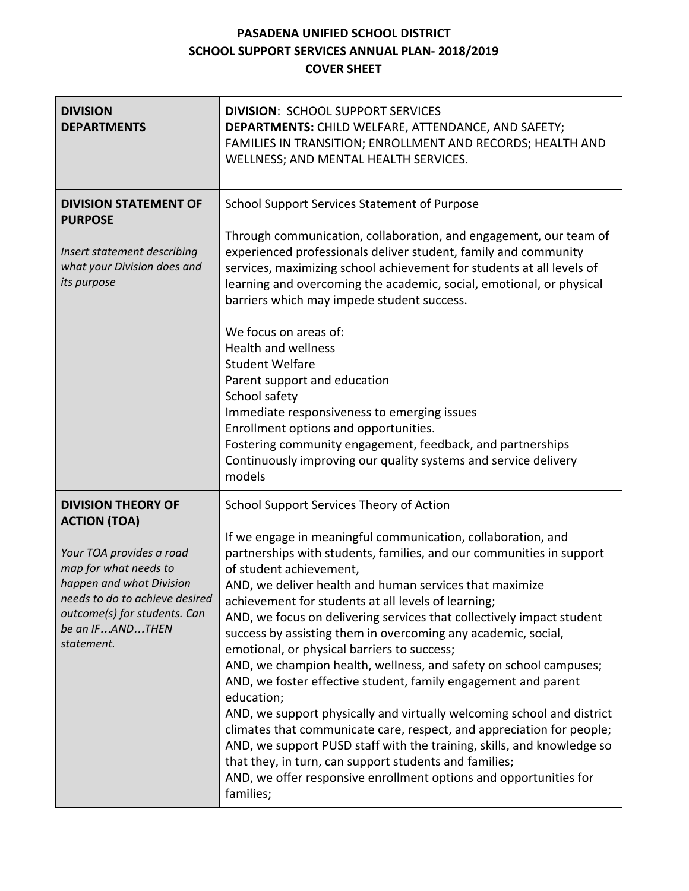## **PASADENA UNIFIED SCHOOL DISTRICT SCHOOL SUPPORT SERVICES ANNUAL PLAN- 2018/2019 COVER SHEET**

| <b>DIVISION</b><br><b>DEPARTMENTS</b>                                                                                                                                                                                                | <b>DIVISION: SCHOOL SUPPORT SERVICES</b><br>DEPARTMENTS: CHILD WELFARE, ATTENDANCE, AND SAFETY;<br>FAMILIES IN TRANSITION; ENROLLMENT AND RECORDS; HEALTH AND<br>WELLNESS; AND MENTAL HEALTH SERVICES.                                                                                                                                                                                                                                                                                                                                                                                                                                                                                                                                                                                                                                                                                                                                                                                                                                               |
|--------------------------------------------------------------------------------------------------------------------------------------------------------------------------------------------------------------------------------------|------------------------------------------------------------------------------------------------------------------------------------------------------------------------------------------------------------------------------------------------------------------------------------------------------------------------------------------------------------------------------------------------------------------------------------------------------------------------------------------------------------------------------------------------------------------------------------------------------------------------------------------------------------------------------------------------------------------------------------------------------------------------------------------------------------------------------------------------------------------------------------------------------------------------------------------------------------------------------------------------------------------------------------------------------|
| <b>DIVISION STATEMENT OF</b><br><b>PURPOSE</b><br>Insert statement describing<br>what your Division does and<br>its purpose                                                                                                          | <b>School Support Services Statement of Purpose</b><br>Through communication, collaboration, and engagement, our team of<br>experienced professionals deliver student, family and community<br>services, maximizing school achievement for students at all levels of<br>learning and overcoming the academic, social, emotional, or physical<br>barriers which may impede student success.<br>We focus on areas of:<br><b>Health and wellness</b><br><b>Student Welfare</b><br>Parent support and education<br>School safety<br>Immediate responsiveness to emerging issues<br>Enrollment options and opportunities.<br>Fostering community engagement, feedback, and partnerships<br>Continuously improving our quality systems and service delivery<br>models                                                                                                                                                                                                                                                                                      |
| <b>DIVISION THEORY OF</b><br><b>ACTION (TOA)</b><br>Your TOA provides a road<br>map for what needs to<br>happen and what Division<br>needs to do to achieve desired<br>outcome(s) for students. Can<br>be an IFANDTHEN<br>statement. | School Support Services Theory of Action<br>If we engage in meaningful communication, collaboration, and<br>partnerships with students, families, and our communities in support<br>of student achievement,<br>AND, we deliver health and human services that maximize<br>achievement for students at all levels of learning;<br>AND, we focus on delivering services that collectively impact student<br>success by assisting them in overcoming any academic, social,<br>emotional, or physical barriers to success;<br>AND, we champion health, wellness, and safety on school campuses;<br>AND, we foster effective student, family engagement and parent<br>education;<br>AND, we support physically and virtually welcoming school and district<br>climates that communicate care, respect, and appreciation for people;<br>AND, we support PUSD staff with the training, skills, and knowledge so<br>that they, in turn, can support students and families;<br>AND, we offer responsive enrollment options and opportunities for<br>families; |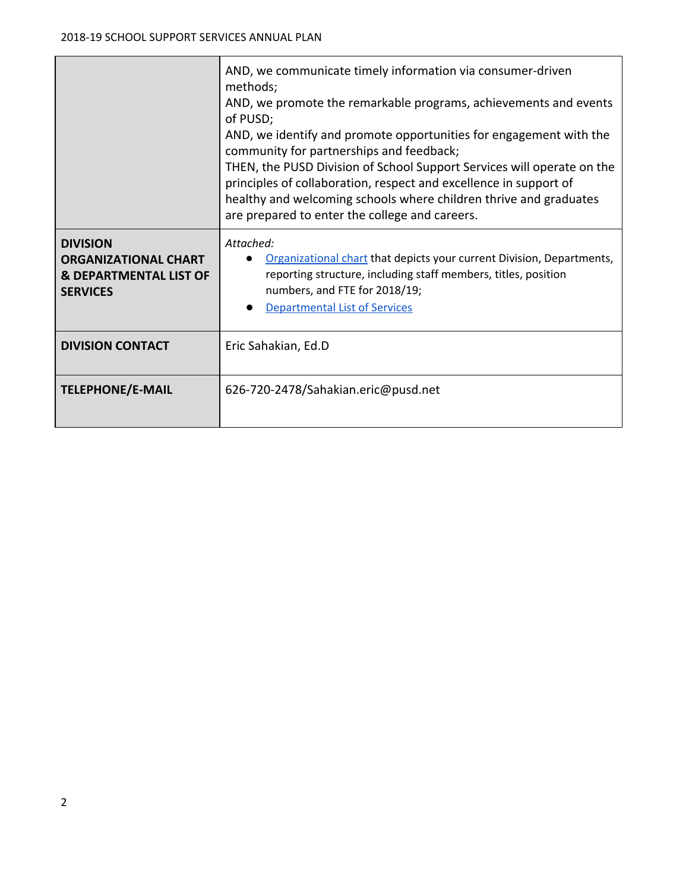|                                                                                                        | AND, we communicate timely information via consumer-driven<br>methods;<br>AND, we promote the remarkable programs, achievements and events<br>of PUSD;<br>AND, we identify and promote opportunities for engagement with the<br>community for partnerships and feedback;<br>THEN, the PUSD Division of School Support Services will operate on the<br>principles of collaboration, respect and excellence in support of<br>healthy and welcoming schools where children thrive and graduates<br>are prepared to enter the college and careers. |  |
|--------------------------------------------------------------------------------------------------------|------------------------------------------------------------------------------------------------------------------------------------------------------------------------------------------------------------------------------------------------------------------------------------------------------------------------------------------------------------------------------------------------------------------------------------------------------------------------------------------------------------------------------------------------|--|
| <b>DIVISION</b><br><b>ORGANIZATIONAL CHART</b><br><b>&amp; DEPARTMENTAL LIST OF</b><br><b>SERVICES</b> | Attached:<br>Organizational chart that depicts your current Division, Departments,<br>reporting structure, including staff members, titles, position<br>numbers, and FTE for 2018/19;<br><b>Departmental List of Services</b>                                                                                                                                                                                                                                                                                                                  |  |
| <b>DIVISION CONTACT</b>                                                                                | Eric Sahakian, Ed.D                                                                                                                                                                                                                                                                                                                                                                                                                                                                                                                            |  |
| <b>TELEPHONE/E-MAIL</b>                                                                                | 626-720-2478/Sahakian.eric@pusd.net                                                                                                                                                                                                                                                                                                                                                                                                                                                                                                            |  |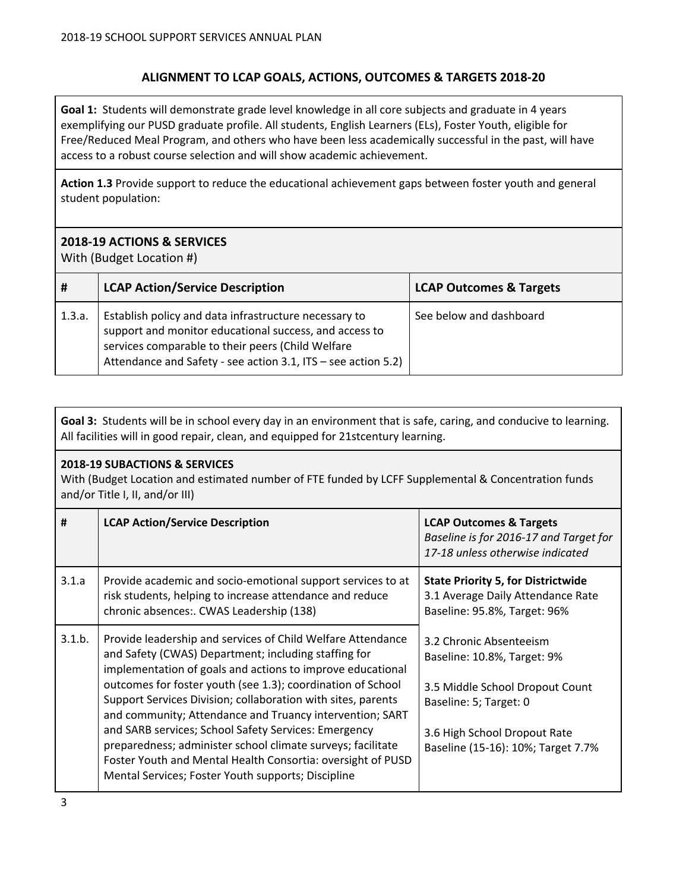## **ALIGNMENT TO LCAP GOALS, ACTIONS, OUTCOMES & TARGETS 2018-20**

**Goal 1:** Students will demonstrate grade level knowledge in all core subjects and graduate in 4 years exemplifying our PUSD graduate profile. All students, English Learners (ELs), Foster Youth, eligible for Free/Reduced Meal Program, and others who have been less academically successful in the past, will have access to a robust course selection and will show academic achievement.

**Action 1.3** Provide support to reduce the educational achievement gaps between foster youth and general student population:

### **2018-19 ACTIONS & SERVICES**

With (Budget Location #)

| #      | <b>LCAP Action/Service Description</b>                                                                                                                                                                                                | <b>LCAP Outcomes &amp; Targets</b> |
|--------|---------------------------------------------------------------------------------------------------------------------------------------------------------------------------------------------------------------------------------------|------------------------------------|
| 1.3.a. | Establish policy and data infrastructure necessary to<br>support and monitor educational success, and access to<br>services comparable to their peers (Child Welfare<br>Attendance and Safety - see action 3.1, ITS - see action 5.2) | See below and dashboard            |

**Goal 3:** Students will be in school every day in an environment that is safe, caring, and conducive to learning. All facilities will in good repair, clean, and equipped for 21stcentury learning.

#### **2018-19 SUBACTIONS & SERVICES**

With (Budget Location and estimated number of FTE funded by LCFF Supplemental & Concentration funds and/or Title I, II, and/or III)

| #      | <b>LCAP Action/Service Description</b>                                                                                                                                                                                                                                                                                                                                                                                                                                                                                                                                                                                   | <b>LCAP Outcomes &amp; Targets</b><br>Baseline is for 2016-17 and Target for<br>17-18 unless otherwise indicated                                                                          |
|--------|--------------------------------------------------------------------------------------------------------------------------------------------------------------------------------------------------------------------------------------------------------------------------------------------------------------------------------------------------------------------------------------------------------------------------------------------------------------------------------------------------------------------------------------------------------------------------------------------------------------------------|-------------------------------------------------------------------------------------------------------------------------------------------------------------------------------------------|
| 3.1.a  | Provide academic and socio-emotional support services to at<br>risk students, helping to increase attendance and reduce<br>chronic absences:. CWAS Leadership (138)                                                                                                                                                                                                                                                                                                                                                                                                                                                      | <b>State Priority 5, for Districtwide</b><br>3.1 Average Daily Attendance Rate<br>Baseline: 95.8%, Target: 96%                                                                            |
| 3.1.b. | Provide leadership and services of Child Welfare Attendance<br>and Safety (CWAS) Department; including staffing for<br>implementation of goals and actions to improve educational<br>outcomes for foster youth (see 1.3); coordination of School<br>Support Services Division; collaboration with sites, parents<br>and community; Attendance and Truancy intervention; SART<br>and SARB services; School Safety Services: Emergency<br>preparedness; administer school climate surveys; facilitate<br>Foster Youth and Mental Health Consortia: oversight of PUSD<br>Mental Services; Foster Youth supports; Discipline | 3.2 Chronic Absenteeism<br>Baseline: 10.8%, Target: 9%<br>3.5 Middle School Dropout Count<br>Baseline: 5; Target: 0<br>3.6 High School Dropout Rate<br>Baseline (15-16): 10%; Target 7.7% |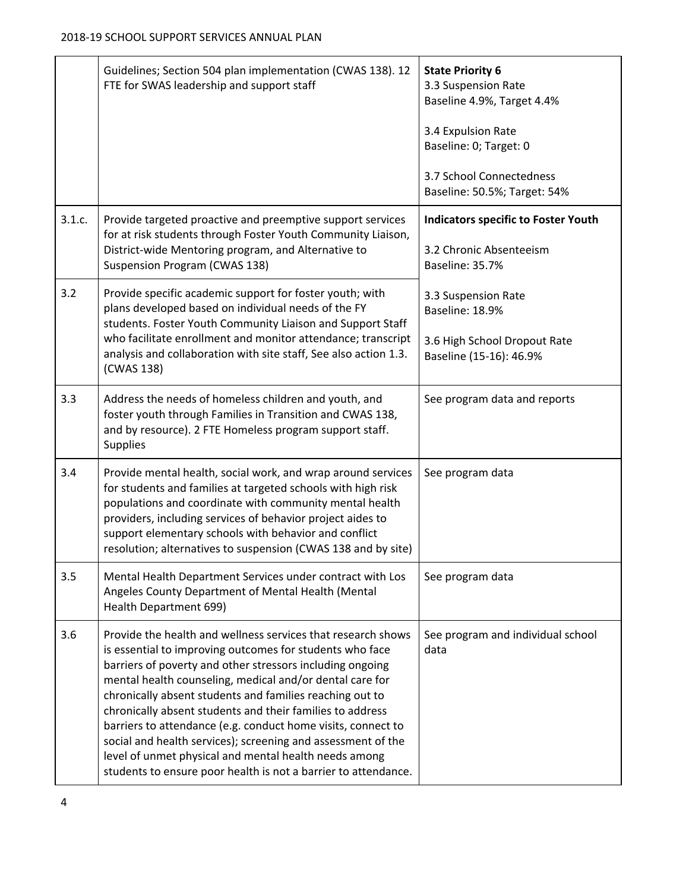|        | Guidelines; Section 504 plan implementation (CWAS 138). 12<br>FTE for SWAS leadership and support staff                                                                                                                                                                                                                                                                                                                                                                                                                                                                                                                               | <b>State Priority 6</b><br>3.3 Suspension Rate<br>Baseline 4.9%, Target 4.4%<br>3.4 Expulsion Rate<br>Baseline: 0; Target: 0 |
|--------|---------------------------------------------------------------------------------------------------------------------------------------------------------------------------------------------------------------------------------------------------------------------------------------------------------------------------------------------------------------------------------------------------------------------------------------------------------------------------------------------------------------------------------------------------------------------------------------------------------------------------------------|------------------------------------------------------------------------------------------------------------------------------|
|        |                                                                                                                                                                                                                                                                                                                                                                                                                                                                                                                                                                                                                                       | 3.7 School Connectedness<br>Baseline: 50.5%; Target: 54%                                                                     |
| 3.1.c. | Provide targeted proactive and preemptive support services<br>for at risk students through Foster Youth Community Liaison,<br>District-wide Mentoring program, and Alternative to<br><b>Suspension Program (CWAS 138)</b>                                                                                                                                                                                                                                                                                                                                                                                                             | <b>Indicators specific to Foster Youth</b><br>3.2 Chronic Absenteeism<br>Baseline: 35.7%                                     |
| 3.2    | Provide specific academic support for foster youth; with<br>plans developed based on individual needs of the FY<br>students. Foster Youth Community Liaison and Support Staff<br>who facilitate enrollment and monitor attendance; transcript<br>analysis and collaboration with site staff, See also action 1.3.<br>(CWAS 138)                                                                                                                                                                                                                                                                                                       | 3.3 Suspension Rate<br>Baseline: 18.9%<br>3.6 High School Dropout Rate<br>Baseline (15-16): 46.9%                            |
| 3.3    | Address the needs of homeless children and youth, and<br>foster youth through Families in Transition and CWAS 138,<br>and by resource). 2 FTE Homeless program support staff.<br><b>Supplies</b>                                                                                                                                                                                                                                                                                                                                                                                                                                      | See program data and reports                                                                                                 |
| 3.4    | Provide mental health, social work, and wrap around services<br>for students and families at targeted schools with high risk<br>populations and coordinate with community mental health<br>providers, including services of behavior project aides to<br>support elementary schools with behavior and conflict<br>resolution; alternatives to suspension (CWAS 138 and by site)                                                                                                                                                                                                                                                       | See program data                                                                                                             |
| 3.5    | Mental Health Department Services under contract with Los<br>Angeles County Department of Mental Health (Mental<br>Health Department 699)                                                                                                                                                                                                                                                                                                                                                                                                                                                                                             | See program data                                                                                                             |
| 3.6    | Provide the health and wellness services that research shows<br>is essential to improving outcomes for students who face<br>barriers of poverty and other stressors including ongoing<br>mental health counseling, medical and/or dental care for<br>chronically absent students and families reaching out to<br>chronically absent students and their families to address<br>barriers to attendance (e.g. conduct home visits, connect to<br>social and health services); screening and assessment of the<br>level of unmet physical and mental health needs among<br>students to ensure poor health is not a barrier to attendance. | See program and individual school<br>data                                                                                    |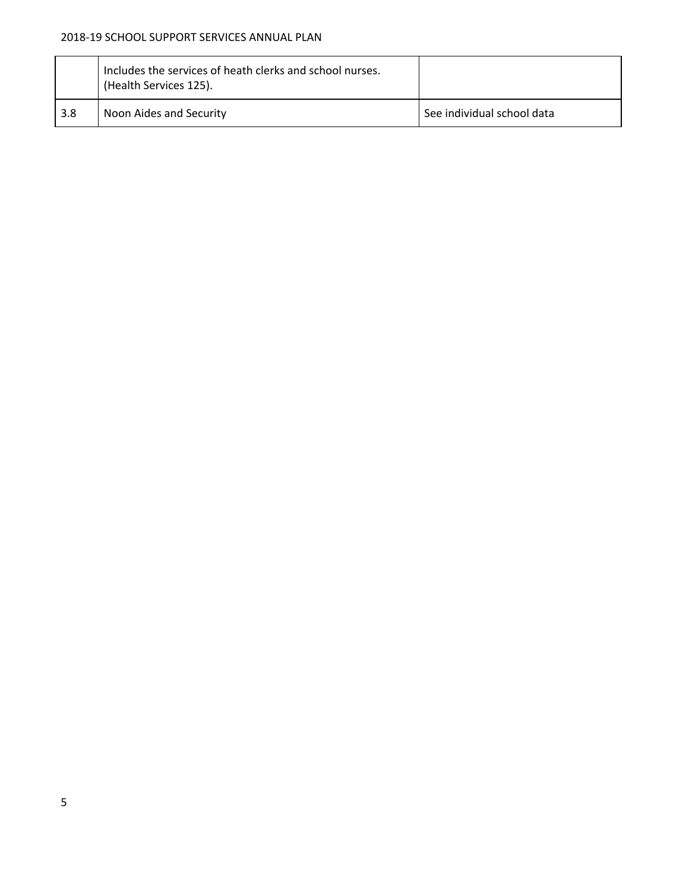#### 2018-19 SCHOOL SUPPORT SERVICES ANNUAL PLAN

|     | Includes the services of heath clerks and school nurses.<br>(Health Services 125). |                            |
|-----|------------------------------------------------------------------------------------|----------------------------|
| 3.8 | Noon Aides and Security                                                            | See individual school data |